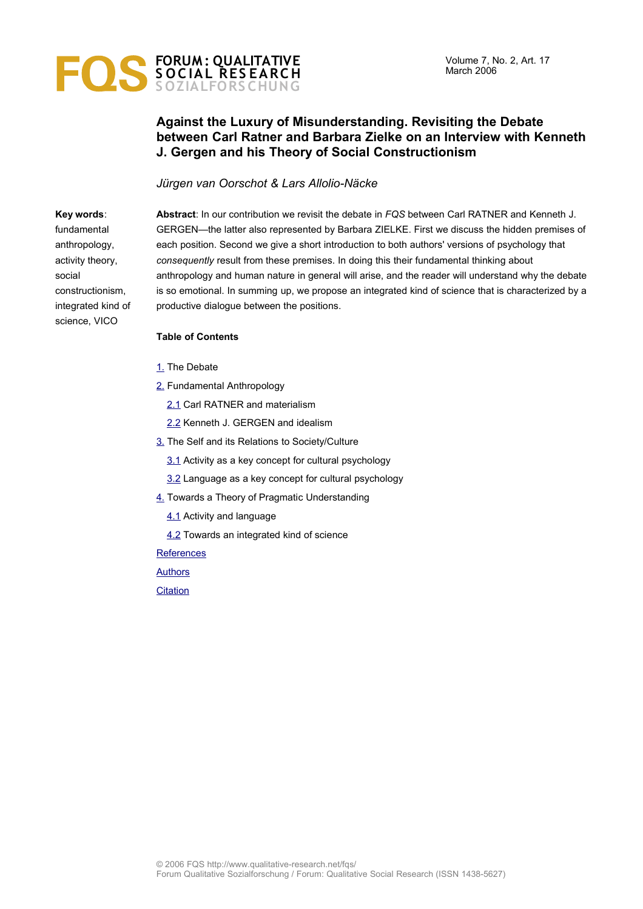# **FORUM : QUALITATIVE S O C IAL RES EARCH S OZIALFORS CHUNG**

## **Against the Luxury of Misunderstanding. Revisiting the Debate between Carl Ratner and Barbara Zielke on an Interview with Kenneth J. Gergen and his Theory of Social Constructionism**

#### *Jürgen van Oorschot & Lars Allolio-Näcke*

**Key words**: fundamental anthropology, activity theory, social constructionism, integrated kind of science, VICO

**Abstract**: In our contribution we revisit the debate in *FQS* between Carl RATNER and Kenneth J. GERGEN—the latter also represented by Barbara ZIELKE. First we discuss the hidden premises of each position. Second we give a short introduction to both authors' versions of psychology that *consequently* result from these premises. In doing this their fundamental thinking about anthropology and human nature in general will arise, and the reader will understand why the debate is so emotional. In summing up, we propose an integrated kind of science that is characterized by a productive dialogue between the positions.

#### **Table of Contents**

- [1.](#page-1-0) The Debate
- [2.](#page-1-1) Fundamental Anthropology
	- [2.1](#page-2-0) Carl RATNER and materialism
	- [2.2](#page-3-0) Kenneth J. GERGEN and idealism
- [3.](#page-7-1) The Self and its Relations to Society/Culture
	- [3.1](#page-7-0) Activity as a key concept for cultural psychology
	- [3.2](#page-10-0) Language as a key concept for cultural psychology
- [4.](#page-13-1) Towards a Theory of Pragmatic Understanding
	- [4.1](#page-13-0) Activity and language
	- [4.2](#page-16-0) Towards an integrated kind of science

**[References](#page-18-0)** 

**[Authors](#page-21-1)** 

**[Citation](#page-21-0)**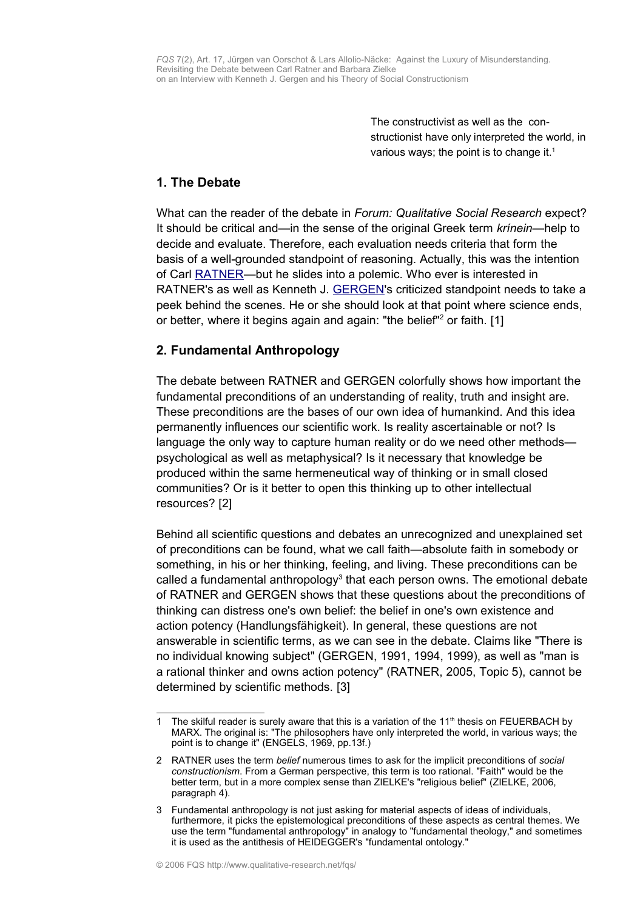The constructivist as well as the constructionist have only interpreted the world, in various ways; the point is to change it. $1$ 

## <span id="page-1-0"></span>**1. The Debate**

What can the reader of the debate in *Forum: Qualitative Social Research* expect? It should be critical and—in the sense of the original Greek term *krínein*—help to decide and evaluate. Therefore, each evaluation needs criteria that form the basis of a well-grounded standpoint of reasoning. Actually, this was the intention of Carl **RATNER—but he slides into a polemic.** Who ever is interested in RATNER's as well as Kenneth J. [GERGEN](http://www.qualitative-research.net/fqs-texte/3-04/04-3-27-e.htm)'s criticized standpoint needs to take a peek behind the scenes. He or she should look at that point where science ends, or better, where it begins again and again: "the belief"<sup>[2](#page-1-3)</sup> or faith. [1]

# <span id="page-1-1"></span>**2. Fundamental Anthropology**

The debate between RATNER and GERGEN colorfully shows how important the fundamental preconditions of an understanding of reality, truth and insight are. These preconditions are the bases of our own idea of humankind. And this idea permanently influences our scientific work. Is reality ascertainable or not? Is language the only way to capture human reality or do we need other methods psychological as well as metaphysical? Is it necessary that knowledge be produced within the same hermeneutical way of thinking or in small closed communities? Or is it better to open this thinking up to other intellectual resources? [2]

Behind all scientific questions and debates an unrecognized and unexplained set of preconditions can be found, what we call faith—absolute faith in somebody or something, in his or her thinking, feeling, and living. These preconditions can be called a fundamental anthropology<sup>[3](#page-1-4)</sup> that each person owns. The emotional debate of RATNER and GERGEN shows that these questions about the preconditions of thinking can distress one's own belief: the belief in one's own existence and action potency (Handlungsfähigkeit). In general, these questions are not answerable in scientific terms, as we can see in the debate. Claims like "There is no individual knowing subject" (GERGEN, 1991, 1994, 1999), as well as "man is a rational thinker and owns action potency" (RATNER, 2005, Topic 5), cannot be determined by scientific methods. [3]

<span id="page-1-2"></span><sup>1</sup> The skilful reader is surely aware that this is a variation of the  $11<sup>th</sup>$  thesis on FEUERBACH by MARX. The original is: "The philosophers have only interpreted the world, in various ways; the point is to change it" (ENGELS, 1969, pp.13f.)

<span id="page-1-3"></span><sup>2</sup> RATNER uses the term *belief* numerous times to ask for the implicit preconditions of *social constructionism*. From a German perspective, this term is too rational. "Faith" would be the better term, but in a more complex sense than ZIELKE's "religious belief" (ZIELKE, 2006, paragraph 4).

<span id="page-1-4"></span><sup>3</sup> Fundamental anthropology is not just asking for material aspects of ideas of individuals, furthermore, it picks the epistemological preconditions of these aspects as central themes. We use the term "fundamental anthropology" in analogy to "fundamental theology," and sometimes it is used as the antithesis of HEIDEGGER's "fundamental ontology."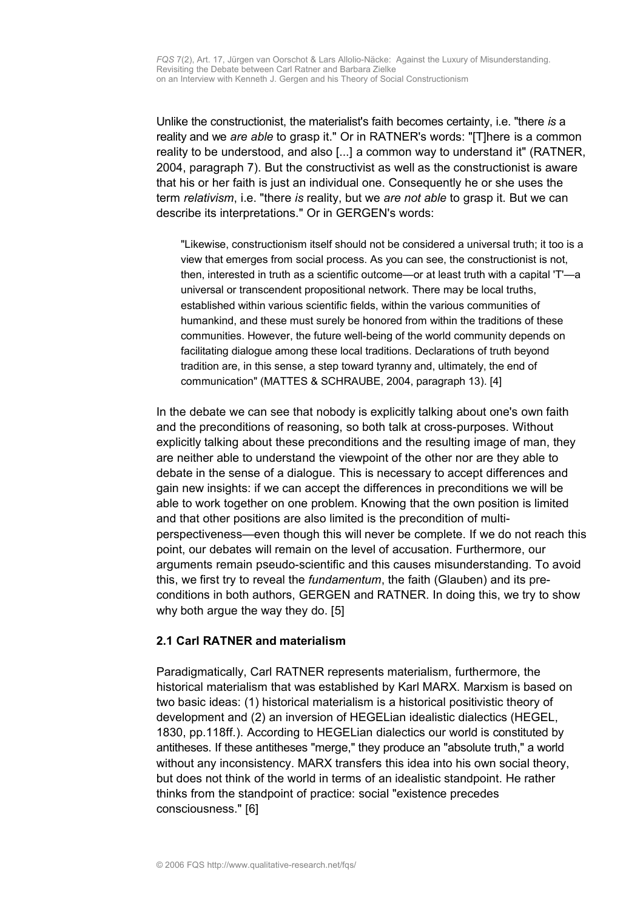Unlike the constructionist, the materialist's faith becomes certainty, i.e. "there *is* a reality and we *are able* to grasp it." Or in RATNER's words: "[T]here is a common reality to be understood, and also [...] a common way to understand it" (RATNER, 2004, paragraph 7). But the constructivist as well as the constructionist is aware that his or her faith is just an individual one. Consequently he or she uses the term *relativism*, i.e. "there *is* reality, but we *are not able* to grasp it. But we can describe its interpretations." Or in GERGEN's words:

"Likewise, constructionism itself should not be considered a universal truth; it too is a view that emerges from social process. As you can see, the constructionist is not, then, interested in truth as a scientific outcome—or at least truth with a capital 'T'—a universal or transcendent propositional network. There may be local truths, established within various scientific fields, within the various communities of humankind, and these must surely be honored from within the traditions of these communities. However, the future well-being of the world community depends on facilitating dialogue among these local traditions. Declarations of truth beyond tradition are, in this sense, a step toward tyranny and, ultimately, the end of communication" (MATTES & SCHRAUBE, 2004, paragraph 13). [4]

In the debate we can see that nobody is explicitly talking about one's own faith and the preconditions of reasoning, so both talk at cross-purposes. Without explicitly talking about these preconditions and the resulting image of man, they are neither able to understand the viewpoint of the other nor are they able to debate in the sense of a dialogue. This is necessary to accept differences and gain new insights: if we can accept the differences in preconditions we will be able to work together on one problem. Knowing that the own position is limited and that other positions are also limited is the precondition of multiperspectiveness—even though this will never be complete. If we do not reach this point, our debates will remain on the level of accusation. Furthermore, our arguments remain pseudo-scientific and this causes misunderstanding. To avoid this, we first try to reveal the *fundamentum*, the faith (Glauben) and its preconditions in both authors, GERGEN and RATNER. In doing this, we try to show why both argue the way they do. [5]

#### <span id="page-2-0"></span>**2.1 Carl RATNER and materialism**

Paradigmatically, Carl RATNER represents materialism, furthermore, the historical materialism that was established by Karl MARX. Marxism is based on two basic ideas: (1) historical materialism is a historical positivistic theory of development and (2) an inversion of HEGELian idealistic dialectics (HEGEL, 1830, pp.118ff.). According to HEGELian dialectics our world is constituted by antitheses. If these antitheses "merge," they produce an "absolute truth," a world without any inconsistency. MARX transfers this idea into his own social theory, but does not think of the world in terms of an idealistic standpoint. He rather thinks from the standpoint of practice: social "existence precedes consciousness." [6]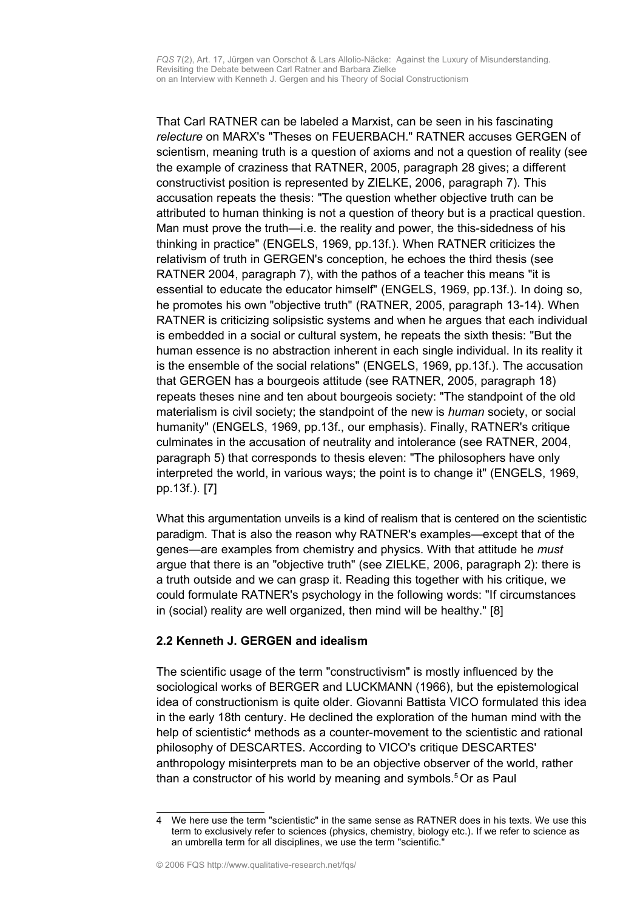That Carl RATNER can be labeled a Marxist, can be seen in his fascinating *relecture* on MARX's "Theses on FEUERBACH." RATNER accuses GERGEN of scientism, meaning truth is a question of axioms and not a question of reality (see the example of craziness that RATNER, 2005, paragraph 28 gives; a different constructivist position is represented by ZIELKE, 2006, paragraph 7). This accusation repeats the thesis: "The question whether objective truth can be attributed to human thinking is not a question of theory but is a practical question. Man must prove the truth—i.e. the reality and power, the this-sidedness of his thinking in practice" (ENGELS, 1969, pp.13f.). When RATNER criticizes the relativism of truth in GERGEN's conception, he echoes the third thesis (see RATNER 2004, paragraph 7), with the pathos of a teacher this means "it is essential to educate the educator himself" (ENGELS, 1969, pp.13f.). In doing so, he promotes his own "objective truth" (RATNER, 2005, paragraph 13-14). When RATNER is criticizing solipsistic systems and when he argues that each individual is embedded in a social or cultural system, he repeats the sixth thesis: "But the human essence is no abstraction inherent in each single individual. In its reality it is the ensemble of the social relations" (ENGELS, 1969, pp.13f.). The accusation that GERGEN has a bourgeois attitude (see RATNER, 2005, paragraph 18) repeats theses nine and ten about bourgeois society: "The standpoint of the old materialism is civil society; the standpoint of the new is *human* society, or social humanity" (ENGELS, 1969, pp.13f., our emphasis). Finally, RATNER's critique culminates in the accusation of neutrality and intolerance (see RATNER, 2004, paragraph 5) that corresponds to thesis eleven: "The philosophers have only interpreted the world, in various ways; the point is to change it" (ENGELS, 1969, pp.13f.). [7]

What this argumentation unveils is a kind of realism that is centered on the scientistic paradigm. That is also the reason why RATNER's examples—except that of the genes—are examples from chemistry and physics. With that attitude he *must* argue that there is an "objective truth" (see ZIELKE, 2006, paragraph 2): there is a truth outside and we can grasp it. Reading this together with his critique, we could formulate RATNER's psychology in the following words: "If circumstances in (social) reality are well organized, then mind will be healthy." [8]

## <span id="page-3-0"></span>**2.2 Kenneth J. GERGEN and idealism**

The scientific usage of the term "constructivism" is mostly influenced by the sociological works of BERGER and LUCKMANN (1966), but the epistemological idea of constructionism is quite older. Giovanni Battista VICO formulated this idea in the early 18th century. He declined the exploration of the human mind with the help of scientistic<sup>[4](#page-3-1)</sup> methods as a counter-movement to the scientistic and rational philosophy of DESCARTES. According to VICO's critique DESCARTES' anthropology misinterprets man to be an objective observer of the world, rather than a constructor of his world by meaning and symbols. [5](#page-4-0) Or as Paul

<span id="page-3-1"></span>We here use the term "scientistic" in the same sense as RATNER does in his texts. We use this term to exclusively refer to sciences (physics, chemistry, biology etc.). If we refer to science as an umbrella term for all disciplines, we use the term "scientific."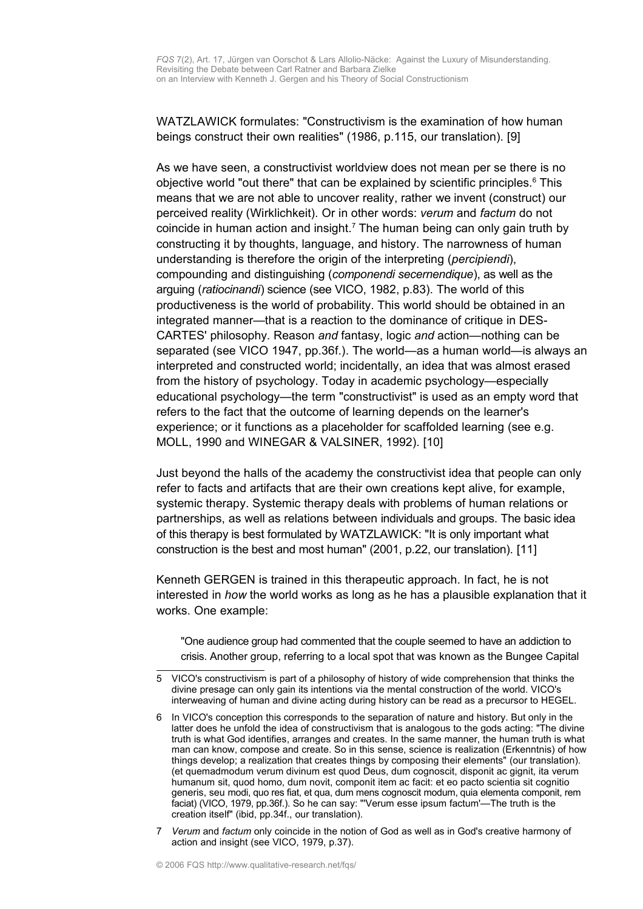WATZLAWICK formulates: "Constructivism is the examination of how human beings construct their own realities" (1986, p.115, our translation). [9]

As we have seen, a constructivist worldview does not mean per se there is no objective world "out there" that can be explained by scientific principles.<sup>[6](#page-4-1)</sup> This means that we are not able to uncover reality, rather we invent (construct) our perceived reality (Wirklichkeit). Or in other words: *verum* and *factum* do not coincide in human action and insight.<sup>[7](#page-4-2)</sup> The human being can only gain truth by constructing it by thoughts, language, and history. The narrowness of human understanding is therefore the origin of the interpreting (*percipiendi*), compounding and distinguishing (*componendi secernendique*), as well as the arguing (*ratiocinandi*) science (see VICO, 1982, p.83). The world of this productiveness is the world of probability. This world should be obtained in an integrated manner—that is a reaction to the dominance of critique in DES-CARTES' philosophy. Reason *and* fantasy, logic *and* action—nothing can be separated (see VICO 1947, pp.36f.). The world—as a human world—is always an interpreted and constructed world; incidentally, an idea that was almost erased from the history of psychology. Today in academic psychology—especially educational psychology—the term "constructivist" is used as an empty word that refers to the fact that the outcome of learning depends on the learner's experience; or it functions as a placeholder for scaffolded learning (see e.g. MOLL, 1990 and WINEGAR & VALSINER, 1992). [10]

Just beyond the halls of the academy the constructivist idea that people can only refer to facts and artifacts that are their own creations kept alive, for example, systemic therapy. Systemic therapy deals with problems of human relations or partnerships, as well as relations between individuals and groups. The basic idea of this therapy is best formulated by WATZLAWICK: "It is only important what construction is the best and most human" (2001, p.22, our translation). [11]

Kenneth GERGEN is trained in this therapeutic approach. In fact, he is not interested in *how* the world works as long as he has a plausible explanation that it works. One example:

"One audience group had commented that the couple seemed to have an addiction to crisis. Another group, referring to a local spot that was known as the Bungee Capital

<span id="page-4-0"></span><sup>5</sup> VICO's constructivism is part of a philosophy of history of wide comprehension that thinks the divine presage can only gain its intentions via the mental construction of the world. VICO's interweaving of human and divine acting during history can be read as a precursor to HEGEL.

<span id="page-4-1"></span><sup>6</sup> In VICO's conception this corresponds to the separation of nature and history. But only in the latter does he unfold the idea of constructivism that is analogous to the gods acting: "The divine truth is what God identifies, arranges and creates. In the same manner, the human truth is what man can know, compose and create. So in this sense, science is realization (Erkenntnis) of how things develop; a realization that creates things by composing their elements" (our translation). (et quemadmodum verum divinum est quod Deus, dum cognoscit, disponit ac gignit, ita verum humanum sit, quod homo, dum novit, componit item ac facit: et eo pacto scientia sit cognitio generis, seu modi, quo res fiat, et qua, dum mens cognoscit modum, quia elementa componit, rem faciat) (VICO, 1979, pp.36f.). So he can say: "'Verum esse ipsum factum'—The truth is the creation itself" (ibid, pp.34f., our translation).

<span id="page-4-2"></span><sup>7</sup> *Verum* and *factum* only coincide in the notion of God as well as in God's creative harmony of action and insight (see VICO, 1979, p.37).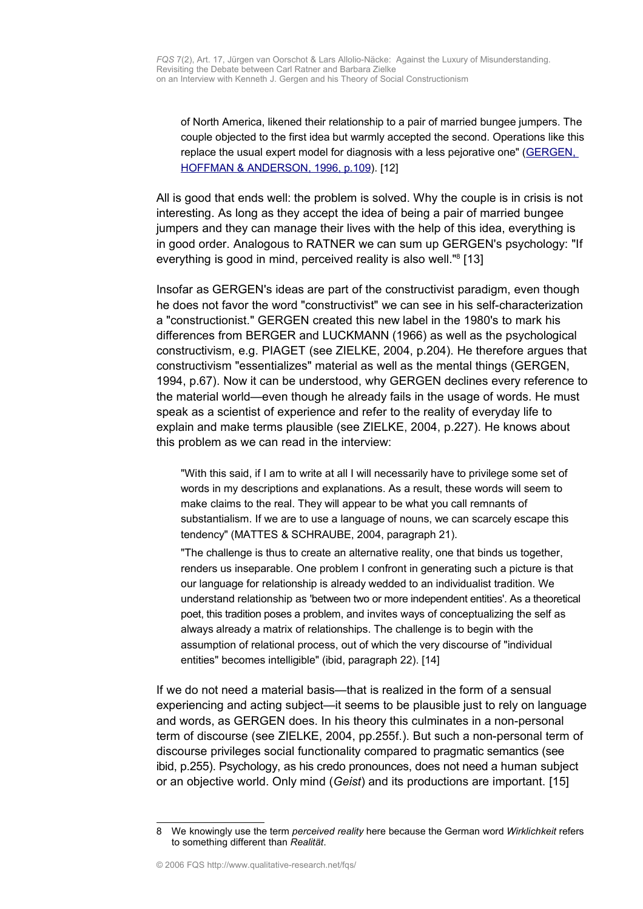of North America, likened their relationship to a pair of married bungee jumpers. The couple objected to the first idea but warmly accepted the second. Operations like this replace the usual expert model for diagnosis with a less pejorative one" [\(GERGEN,](http://www.swarthmore.edu/SocSci/kgergen1/web/page.phtml?id=manu5&st=manuscripts&hf=1) HOFFMAN & [ANDERSON, 1996,](http://www.swarthmore.edu/SocSci/kgergen1/web/page.phtml?id=manu5&st=manuscripts&hf=1) p.109). [12]

All is good that ends well: the problem is solved. Why the couple is in crisis is not interesting. As long as they accept the idea of being a pair of married bungee jumpers and they can manage their lives with the help of this idea, everything is in good order. Analogous to RATNER we can sum up GERGEN's psychology: "If everything is good in mind, perceived reality is also well."<sup>[8](#page-5-0)</sup> [13]

Insofar as GERGEN's ideas are part of the constructivist paradigm, even though he does not favor the word "constructivist" we can see in his self-characterization a "constructionist." GERGEN created this new label in the 1980's to mark his differences from BERGER and LUCKMANN (1966) as well as the psychological constructivism, e.g. PIAGET (see ZIELKE, 2004, p.204). He therefore argues that constructivism "essentializes" material as well as the mental things (GERGEN, 1994, p.67). Now it can be understood, why GERGEN declines every reference to the material world—even though he already fails in the usage of words. He must speak as a scientist of experience and refer to the reality of everyday life to explain and make terms plausible (see ZIELKE, 2004, p.227). He knows about this problem as we can read in the interview:

"With this said, if I am to write at all I will necessarily have to privilege some set of words in my descriptions and explanations. As a result, these words will seem to make claims to the real. They will appear to be what you call remnants of substantialism. If we are to use a language of nouns, we can scarcely escape this tendency" (MATTES & SCHRAUBE, 2004, paragraph 21).

"The challenge is thus to create an alternative reality, one that binds us together, renders us inseparable. One problem I confront in generating such a picture is that our language for relationship is already wedded to an individualist tradition. We understand relationship as 'between two or more independent entities'. As a theoretical poet, this tradition poses a problem, and invites ways of conceptualizing the self as always already a matrix of relationships. The challenge is to begin with the assumption of relational process, out of which the very discourse of "individual entities" becomes intelligible" (ibid, paragraph 22). [14]

If we do not need a material basis—that is realized in the form of a sensual experiencing and acting subject—it seems to be plausible just to rely on language and words, as GERGEN does. In his theory this culminates in a non-personal term of discourse (see ZIELKE, 2004, pp.255f.). But such a non-personal term of discourse privileges social functionality compared to pragmatic semantics (see ibid, p.255). Psychology, as his credo pronounces, does not need a human subject or an objective world. Only mind (*Geist*) and its productions are important. [15]

<span id="page-5-0"></span><sup>8</sup> We knowingly use the term *perceived reality* here because the German word *Wirklichkeit* refers to something different than *Realität*.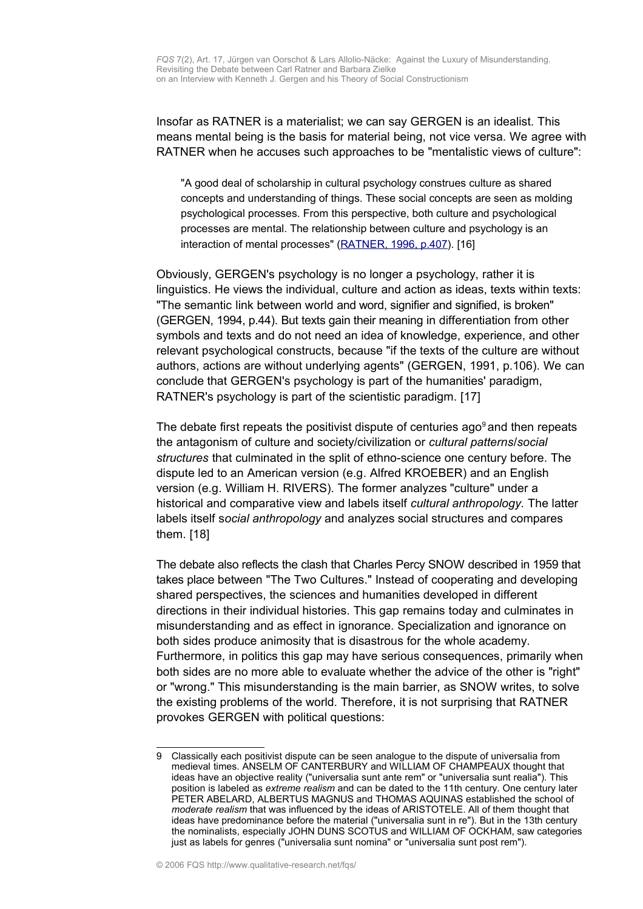Insofar as RATNER is a materialist; we can say GERGEN is an idealist. This means mental being is the basis for material being, not vice versa. We agree with RATNER when he accuses such approaches to be "mentalistic views of culture":

"A good deal of scholarship in cultural psychology construes culture as shared concepts and understanding of things. These social concepts are seen as molding psychological processes. From this perspective, both culture and psychological processes are mental. The relationship between culture and psychology is an interaction of mental processes" [\(RATNER, 1996,](http://www.humboldt1.com/~cr2/jaan.htm) p.407). [16]

Obviously, GERGEN's psychology is no longer a psychology, rather it is linguistics. He views the individual, culture and action as ideas, texts within texts: "The semantic link between world and word, signifier and signified, is broken" (GERGEN, 1994, p.44). But texts gain their meaning in differentiation from other symbols and texts and do not need an idea of knowledge, experience, and other relevant psychological constructs, because "if the texts of the culture are without authors, actions are without underlying agents" (GERGEN, 1991, p.106). We can conclude that GERGEN's psychology is part of the humanities' paradigm, RATNER's psychology is part of the scientistic paradigm. [17]

The debate first repeats the positivist dispute of centuries ago<sup>[9](#page-6-0)</sup> and then repeats the antagonism of culture and society/civilization or *cultural patterns*/*social structures* that culminated in the split of ethno-science one century before. The dispute led to an American version (e.g. Alfred KROEBER) and an English version (e.g. William H. RIVERS). The former analyzes "culture" under a historical and comparative view and labels itself *cultural anthropology.* The latter labels itself s*ocial anthropology* and analyzes social structures and compares them. [18]

The debate also reflects the clash that Charles Percy SNOW described in 1959 that takes place between "The Two Cultures." Instead of cooperating and developing shared perspectives, the sciences and humanities developed in different directions in their individual histories. This gap remains today and culminates in misunderstanding and as effect in ignorance. Specialization and ignorance on both sides produce animosity that is disastrous for the whole academy. Furthermore, in politics this gap may have serious consequences, primarily when both sides are no more able to evaluate whether the advice of the other is "right" or "wrong." This misunderstanding is the main barrier, as SNOW writes, to solve the existing problems of the world. Therefore, it is not surprising that RATNER provokes GERGEN with political questions:

<span id="page-6-0"></span><sup>9</sup> Classically each positivist dispute can be seen analogue to the dispute of universalia from medieval times. ANSELM OF CANTERBURY and WILLIAM OF CHAMPEAUX thought that ideas have an objective reality ("universalia sunt ante rem" or "universalia sunt realia"). This position is labeled as *extreme realism* and can be dated to the 11th century. One century later PETER ABELARD, ALBERTUS MAGNUS and THOMAS AQUINAS established the school of *moderate realism* that was influenced by the ideas of ARISTOTELE. All of them thought that ideas have predominance before the material ("universalia sunt in re"). But in the 13th century the nominalists, especially JOHN DUNS SCOTUS and WILLIAM OF OCKHAM, saw categories just as labels for genres ("universalia sunt nomina" or "universalia sunt post rem").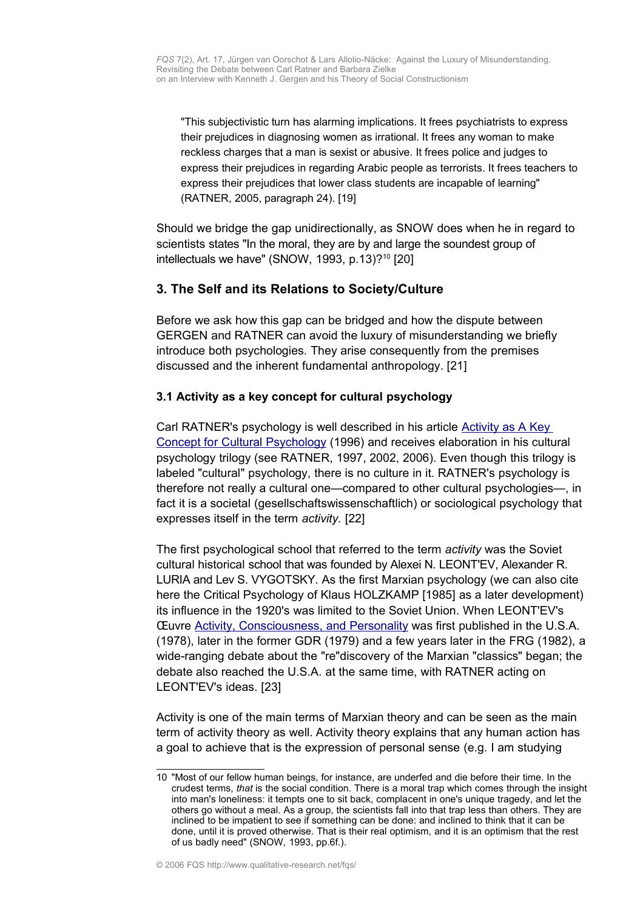"This subjectivistic turn has alarming implications. It frees psychiatrists to express their prejudices in diagnosing women as irrational. It frees any woman to make reckless charges that a man is sexist or abusive. It frees police and judges to express their prejudices in regarding Arabic people as terrorists. It frees teachers to express their prejudices that lower class students are incapable of learning" (RATNER, 2005, paragraph 24). [19]

Should we bridge the gap unidirectionally, as SNOW does when he in regard to scientists states "In the moral, they are by and large the soundest group of intellectuals we have" (SNOW, 1993, p.13)? $10$  [20]

## <span id="page-7-1"></span>**3. The Self and its Relations to Society/Culture**

Before we ask how this gap can be bridged and how the dispute between GERGEN and RATNER can avoid the luxury of misunderstanding we briefly introduce both psychologies. They arise consequently from the premises discussed and the inherent fundamental anthropology. [21]

#### <span id="page-7-0"></span>**3.1 Activity as a key concept for cultural psychology**

Carl RATNER's psychology is well described in his article [Activity as A Key](http://www.humboldt1.com/~cr2/jaan.htm) [Concept for Cultural Psychology](http://www.humboldt1.com/~cr2/jaan.htm) (1996) and receives elaboration in his cultural psychology trilogy (see RATNER, 1997, 2002, 2006). Even though this trilogy is labeled "cultural" psychology, there is no culture in it. RATNER's psychology is therefore not really a cultural one—compared to other cultural psychologies—, in fact it is a societal (gesellschaftswissenschaftlich) or sociological psychology that expresses itself in the term *activity.* [22]

The first psychological school that referred to the term *activity* was the Soviet cultural historical school that was founded by Alexei N. LEONT'EV, Alexander R. LURIA and Lev S. VYGOTSKY. As the first Marxian psychology (we can also cite here the Critical Psychology of Klaus HOLZKAMP [1985] as a later development) its influence in the 1920's was limited to the Soviet Union. When LEONT'EV's Œuvre [Activity, Consciousness, and Personality](http://www.marxists.org/archive/leontev/works/1978/index.htm) was first published in the U.S.A. (1978), later in the former GDR (1979) and a few years later in the FRG (1982), a wide-ranging debate about the "re"discovery of the Marxian "classics" began; the debate also reached the U.S.A. at the same time, with RATNER acting on LEONT'EV's ideas. [23]

Activity is one of the main terms of Marxian theory and can be seen as the main term of activity theory as well. Activity theory explains that any human action has a goal to achieve that is the expression of personal sense (e.g. I am studying

<span id="page-7-2"></span><sup>10</sup> "Most of our fellow human beings, for instance, are underfed and die before their time. In the crudest terms, *that* is the social condition. There is a moral trap which comes through the insight into man's loneliness: it tempts one to sit back, complacent in one's unique tragedy, and let the others go without a meal. As a group, the scientists fall into that trap less than others. They are inclined to be impatient to see if something can be done: and inclined to think that it can be done, until it is proved otherwise. That is their real optimism, and it is an optimism that the rest of us badly need" (SNOW, 1993, pp.6f.).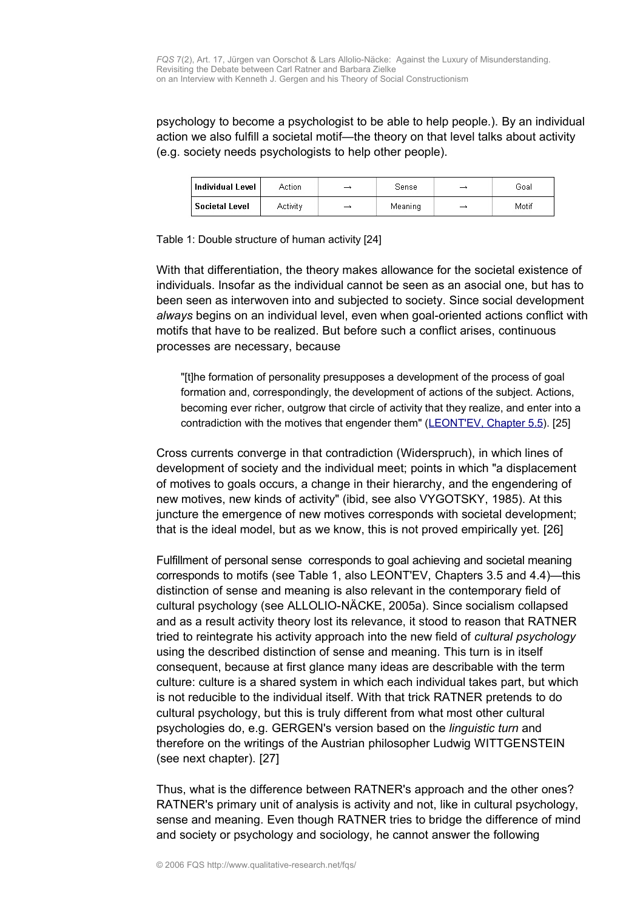psychology to become a psychologist to be able to help people.). By an individual action we also fulfill a societal motif—the theory on that level talks about activity (e.g. society needs psychologists to help other people).

| Individual Level | Action   | → | Sense   | - | Goal  |
|------------------|----------|---|---------|---|-------|
| Societal Level   | Activity | ⊸ | Meaning | - | Motif |

Table 1: Double structure of human activity [24]

With that differentiation, the theory makes allowance for the societal existence of individuals. Insofar as the individual cannot be seen as an asocial one, but has to been seen as interwoven into and subjected to society. Since social development *always* begins on an individual level, even when goal-oriented actions conflict with motifs that have to be realized. But before such a conflict arises, continuous processes are necessary, because

"[t]he formation of personality presupposes a development of the process of goal formation and, correspondingly, the development of actions of the subject. Actions, becoming ever richer, outgrow that circle of activity that they realize, and enter into a contradiction with the motives that engender them" [\(LEONT'EV, Chapter 5.5\)](http://www.marxists.org/archive/leontev/works/1978/ch5b.htm). [25]

Cross currents converge in that contradiction (Widerspruch), in which lines of development of society and the individual meet; points in which "a displacement of motives to goals occurs, a change in their hierarchy, and the engendering of new motives, new kinds of activity" (ibid, see also VYGOTSKY, 1985). At this juncture the emergence of new motives corresponds with societal development; that is the ideal model, but as we know, this is not proved empirically yet. [26]

Fulfillment of personal sense corresponds to goal achieving and societal meaning corresponds to motifs (see Table 1, also LEONT'EV, Chapters 3.5 and 4.4)—this distinction of sense and meaning is also relevant in the contemporary field of cultural psychology (see ALLOLIO-NÄCKE, 2005a). Since socialism collapsed and as a result activity theory lost its relevance, it stood to reason that RATNER tried to reintegrate his activity approach into the new field of *cultural psychology* using the described distinction of sense and meaning. This turn is in itself consequent, because at first glance many ideas are describable with the term culture: culture is a shared system in which each individual takes part, but which is not reducible to the individual itself. With that trick RATNER pretends to do cultural psychology, but this is truly different from what most other cultural psychologies do, e.g. GERGEN's version based on the *linguistic turn* and therefore on the writings of the Austrian philosopher Ludwig WITTGENSTEIN (see next chapter). [27]

Thus, what is the difference between RATNER's approach and the other ones? RATNER's primary unit of analysis is activity and not, like in cultural psychology, sense and meaning. Even though RATNER tries to bridge the difference of mind and society or psychology and sociology, he cannot answer the following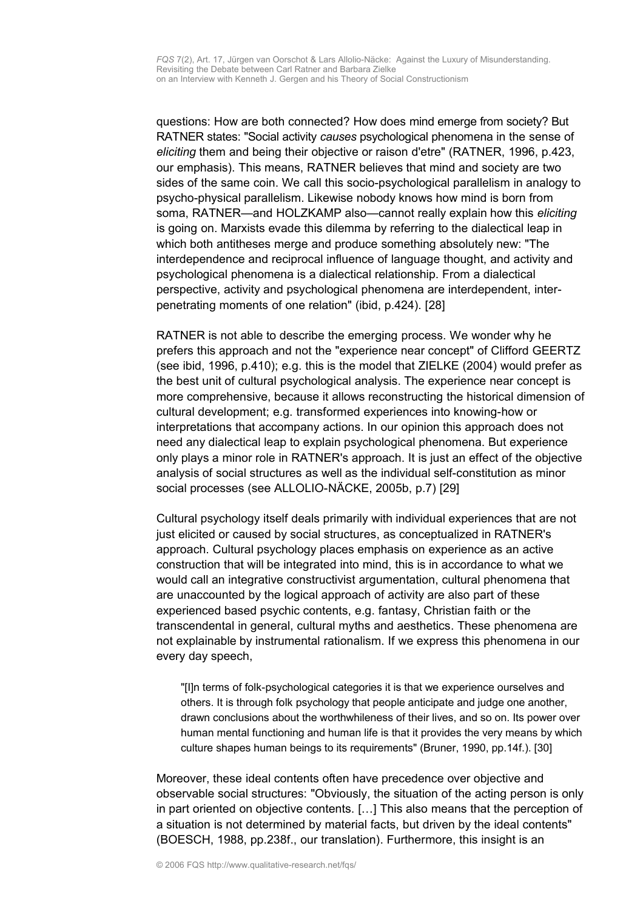questions: How are both connected? How does mind emerge from society? But RATNER states: "Social activity *causes* psychological phenomena in the sense of *eliciting* them and being their objective or raison d'etre" (RATNER, 1996, p.423, our emphasis). This means, RATNER believes that mind and society are two sides of the same coin. We call this socio-psychological parallelism in analogy to psycho-physical parallelism. Likewise nobody knows how mind is born from soma, RATNER—and HOLZKAMP also—cannot really explain how this *eliciting* is going on. Marxists evade this dilemma by referring to the dialectical leap in which both antitheses merge and produce something absolutely new: "The interdependence and reciprocal influence of language thought, and activity and psychological phenomena is a dialectical relationship. From a dialectical perspective, activity and psychological phenomena are interdependent, interpenetrating moments of one relation" (ibid, p.424). [28]

RATNER is not able to describe the emerging process. We wonder why he prefers this approach and not the "experience near concept" of Clifford GEERTZ (see ibid, 1996, p.410); e.g. this is the model that ZIELKE (2004) would prefer as the best unit of cultural psychological analysis. The experience near concept is more comprehensive, because it allows reconstructing the historical dimension of cultural development; e.g. transformed experiences into knowing-how or interpretations that accompany actions. In our opinion this approach does not need any dialectical leap to explain psychological phenomena. But experience only plays a minor role in RATNER's approach. It is just an effect of the objective analysis of social structures as well as the individual self-constitution as minor social processes (see ALLOLIO-NÄCKE, 2005b, p.7) [29]

Cultural psychology itself deals primarily with individual experiences that are not just elicited or caused by social structures, as conceptualized in RATNER's approach. Cultural psychology places emphasis on experience as an active construction that will be integrated into mind, this is in accordance to what we would call an integrative constructivist argumentation, cultural phenomena that are unaccounted by the logical approach of activity are also part of these experienced based psychic contents, e.g. fantasy, Christian faith or the transcendental in general, cultural myths and aesthetics. These phenomena are not explainable by instrumental rationalism. If we express this phenomena in our every day speech,

"[I]n terms of folk-psychological categories it is that we experience ourselves and others. It is through folk psychology that people anticipate and judge one another, drawn conclusions about the worthwhileness of their lives, and so on. Its power over human mental functioning and human life is that it provides the very means by which culture shapes human beings to its requirements" (Bruner, 1990, pp.14f.). [30]

Moreover, these ideal contents often have precedence over objective and observable social structures: "Obviously, the situation of the acting person is only in part oriented on objective contents. […] This also means that the perception of a situation is not determined by material facts, but driven by the ideal contents" (BOESCH, 1988, pp.238f., our translation). Furthermore, this insight is an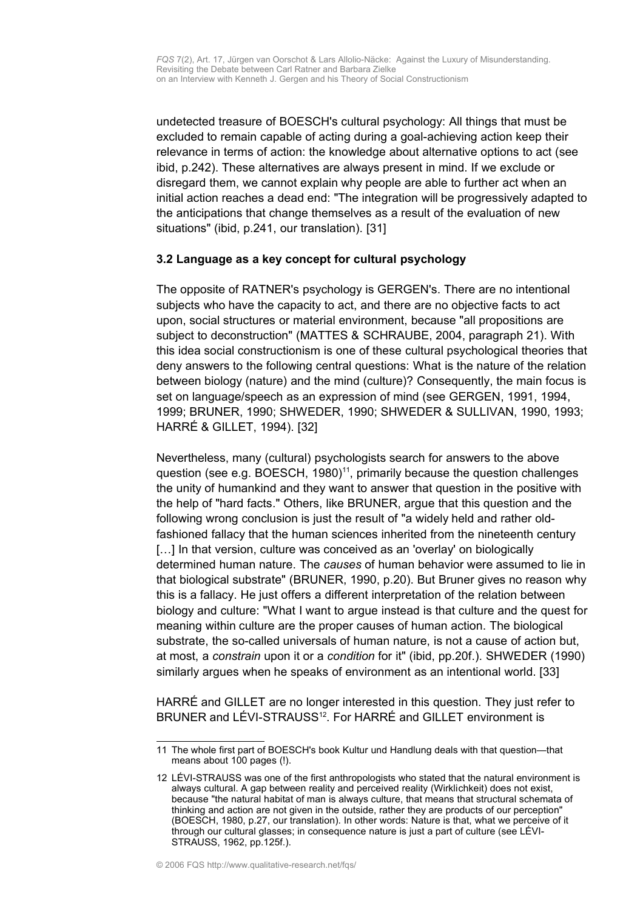undetected treasure of BOESCH's cultural psychology: All things that must be excluded to remain capable of acting during a goal-achieving action keep their relevance in terms of action: the knowledge about alternative options to act (see ibid, p.242). These alternatives are always present in mind. If we exclude or disregard them, we cannot explain why people are able to further act when an initial action reaches a dead end: "The integration will be progressively adapted to the anticipations that change themselves as a result of the evaluation of new situations" (ibid, p.241, our translation). [31]

#### <span id="page-10-0"></span>**3.2 Language as a key concept for cultural psychology**

The opposite of RATNER's psychology is GERGEN's. There are no intentional subjects who have the capacity to act, and there are no objective facts to act upon, social structures or material environment, because "all propositions are subject to deconstruction" (MATTES & SCHRAUBE, 2004, paragraph 21). With this idea social constructionism is one of these cultural psychological theories that deny answers to the following central questions: What is the nature of the relation between biology (nature) and the mind (culture)? Consequently, the main focus is set on language/speech as an expression of mind (see GERGEN, 1991, 1994, 1999; BRUNER, 1990; SHWEDER, 1990; SHWEDER & SULLIVAN, 1990, 1993; HARRÉ & GILLET, 1994). [32]

Nevertheless, many (cultural) psychologists search for answers to the above question (see e.g. BOESCH, 1980)<sup>[11](#page-10-1)</sup>, primarily because the question challenges the unity of humankind and they want to answer that question in the positive with the help of "hard facts." Others, like BRUNER, argue that this question and the following wrong conclusion is just the result of "a widely held and rather oldfashioned fallacy that the human sciences inherited from the nineteenth century [...] In that version, culture was conceived as an 'overlay' on biologically determined human nature. The *causes* of human behavior were assumed to lie in that biological substrate" (BRUNER, 1990, p.20). But Bruner gives no reason why this is a fallacy. He just offers a different interpretation of the relation between biology and culture: "What I want to argue instead is that culture and the quest for meaning within culture are the proper causes of human action. The biological substrate, the so-called universals of human nature, is not a cause of action but, at most, a *constrain* upon it or a *condition* for it" (ibid, pp.20f.). SHWEDER (1990) similarly argues when he speaks of environment as an intentional world. [33]

HARRÉ and GILLET are no longer interested in this question. They just refer to BRUNER and LÉVI-STRAUSS<sup>[12](#page-10-2)</sup>. For HARRÉ and GILLET environment is

<span id="page-10-1"></span><sup>11</sup> The whole first part of BOESCH's book Kultur und Handlung deals with that question—that means about 100 pages (!).

<span id="page-10-2"></span><sup>12</sup> LÉVI-STRAUSS was one of the first anthropologists who stated that the natural environment is always cultural. A gap between reality and perceived reality (Wirklichkeit) does not exist, because "the natural habitat of man is always culture, that means that structural schemata of thinking and action are not given in the outside, rather they are products of our perception" (BOESCH, 1980, p.27, our translation). In other words: Nature is that, what we perceive of it through our cultural glasses; in consequence nature is just a part of culture (see LÉVI-STRAUSS, 1962, pp.125f.).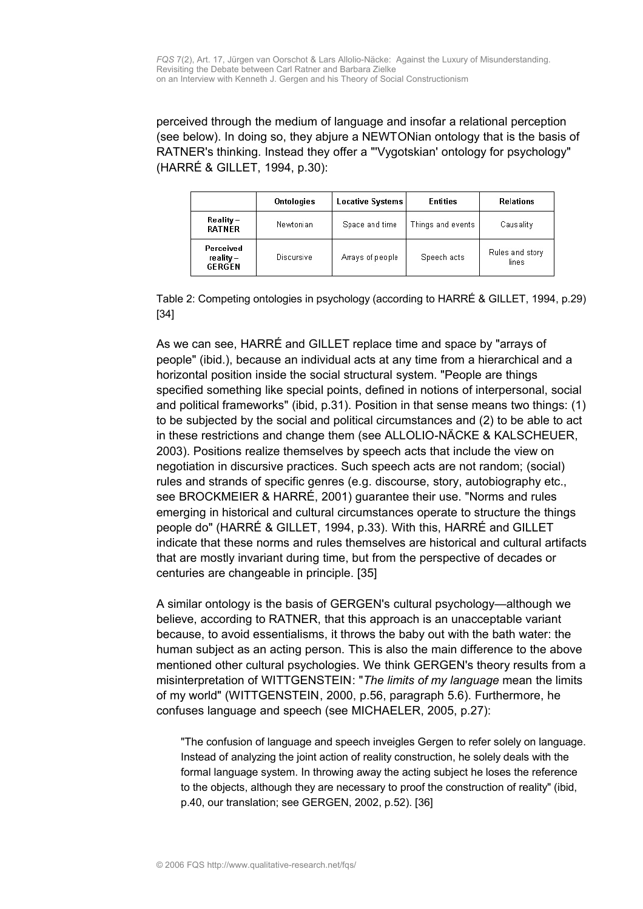perceived through the medium of language and insofar a relational perception (see below). In doing so, they abjure a NEWTONian ontology that is the basis of RATNER's thinking. Instead they offer a "'Vygotskian' ontology for psychology" (HARRÉ & GILLET, 1994, p.30):

|                                           | <b>Ontologies</b> | <b>Locative Systems</b> | <b>Entities</b>   | <b>Relations</b>         |
|-------------------------------------------|-------------------|-------------------------|-------------------|--------------------------|
| $\bf{Reality} -$<br><b>RATNER</b>         | Newtonian         | Space and time          | Things and events | Causality                |
| Perceived<br>reality $-$<br><b>GERGEN</b> | <b>Discursive</b> | Arrays of people        | Speech acts       | Rules and story<br>lines |

Table 2: Competing ontologies in psychology (according to HARRÉ & GILLET, 1994, p.29) [34]

As we can see, HARRÉ and GILLET replace time and space by "arrays of people" (ibid.), because an individual acts at any time from a hierarchical and a horizontal position inside the social structural system. "People are things specified something like special points, defined in notions of interpersonal, social and political frameworks" (ibid, p.31). Position in that sense means two things: (1) to be subjected by the social and political circumstances and (2) to be able to act in these restrictions and change them (see ALLOLIO-NÄCKE & KALSCHEUER, 2003). Positions realize themselves by speech acts that include the view on negotiation in discursive practices. Such speech acts are not random; (social) rules and strands of specific genres (e.g. discourse, story, autobiography etc., see BROCKMEIER & HARRÉ, 2001) guarantee their use. "Norms and rules emerging in historical and cultural circumstances operate to structure the things people do" (HARRÉ & GILLET, 1994, p.33). With this, HARRÉ and GILLET indicate that these norms and rules themselves are historical and cultural artifacts that are mostly invariant during time, but from the perspective of decades or centuries are changeable in principle. [35]

A similar ontology is the basis of GERGEN's cultural psychology—although we believe, according to RATNER, that this approach is an unacceptable variant because, to avoid essentialisms, it throws the baby out with the bath water: the human subject as an acting person. This is also the main difference to the above mentioned other cultural psychologies. We think GERGEN's theory results from a misinterpretation of WITTGENSTEIN: "*The limits of my language* mean the limits of my world" (WITTGENSTEIN, 2000, p.56, paragraph 5.6). Furthermore, he confuses language and speech (see MICHAELER, 2005, p.27):

"The confusion of language and speech inveigles Gergen to refer solely on language. Instead of analyzing the joint action of reality construction, he solely deals with the formal language system. In throwing away the acting subject he loses the reference to the objects, although they are necessary to proof the construction of reality" (ibid, p.40, our translation; see GERGEN, 2002, p.52). [36]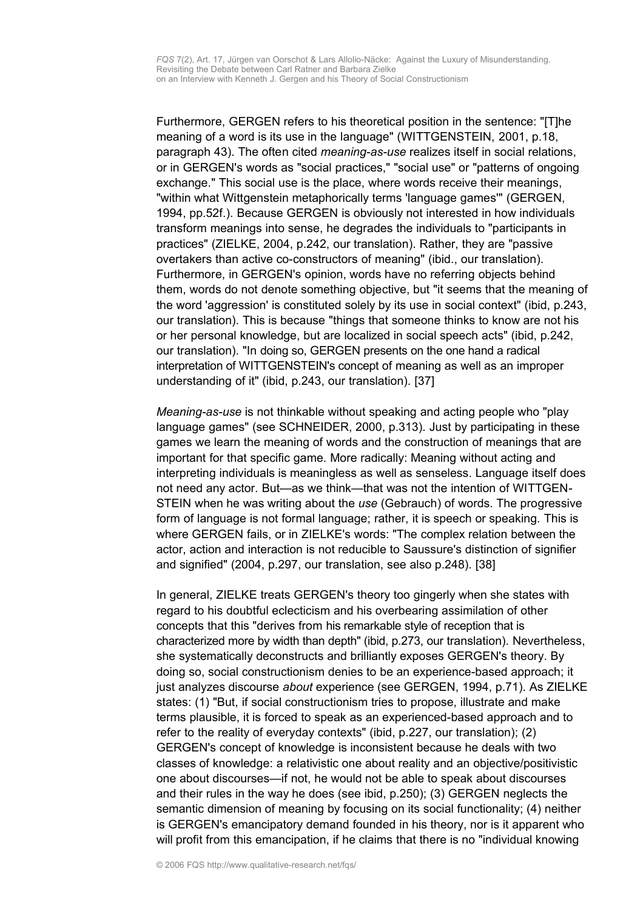Furthermore, GERGEN refers to his theoretical position in the sentence: "[T]he meaning of a word is its use in the language" (WITTGENSTEIN, 2001, p.18, paragraph 43). The often cited *meaning-as-use* realizes itself in social relations, or in GERGEN's words as "social practices," "social use" or "patterns of ongoing exchange." This social use is the place, where words receive their meanings, "within what Wittgenstein metaphorically terms 'language games'" (GERGEN, 1994, pp.52f.). Because GERGEN is obviously not interested in how individuals transform meanings into sense, he degrades the individuals to "participants in practices" (ZIELKE, 2004, p.242, our translation). Rather, they are "passive overtakers than active co-constructors of meaning" (ibid., our translation). Furthermore, in GERGEN's opinion, words have no referring objects behind them, words do not denote something objective, but "it seems that the meaning of the word 'aggression' is constituted solely by its use in social context" (ibid, p.243, our translation). This is because "things that someone thinks to know are not his or her personal knowledge, but are localized in social speech acts" (ibid, p.242, our translation). "In doing so, GERGEN presents on the one hand a radical interpretation of WITTGENSTEIN's concept of meaning as well as an improper understanding of it" (ibid, p.243, our translation). [37]

*Meaning-as-use* is not thinkable without speaking and acting people who "play language games" (see SCHNEIDER, 2000, p.313). Just by participating in these games we learn the meaning of words and the construction of meanings that are important for that specific game. More radically: Meaning without acting and interpreting individuals is meaningless as well as senseless. Language itself does not need any actor. But—as we think—that was not the intention of WITTGEN-STEIN when he was writing about the *use* (Gebrauch) of words. The progressive form of language is not formal language; rather, it is speech or speaking. This is where GERGEN fails, or in ZIELKE's words: "The complex relation between the actor, action and interaction is not reducible to Saussure's distinction of signifier and signified" (2004, p.297, our translation, see also p.248). [38]

In general, ZIELKE treats GERGEN's theory too gingerly when she states with regard to his doubtful eclecticism and his overbearing assimilation of other concepts that this "derives from his remarkable style of reception that is characterized more by width than depth" (ibid, p.273, our translation). Nevertheless, she systematically deconstructs and brilliantly exposes GERGEN's theory. By doing so, social constructionism denies to be an experience-based approach; it just analyzes discourse *about* experience (see GERGEN, 1994, p.71). As ZIELKE states: (1) "But, if social constructionism tries to propose, illustrate and make terms plausible, it is forced to speak as an experienced-based approach and to refer to the reality of everyday contexts" (ibid, p.227, our translation); (2) GERGEN's concept of knowledge is inconsistent because he deals with two classes of knowledge: a relativistic one about reality and an objective/positivistic one about discourses—if not, he would not be able to speak about discourses and their rules in the way he does (see ibid, p.250); (3) GERGEN neglects the semantic dimension of meaning by focusing on its social functionality; (4) neither is GERGEN's emancipatory demand founded in his theory, nor is it apparent who will profit from this emancipation, if he claims that there is no "individual knowing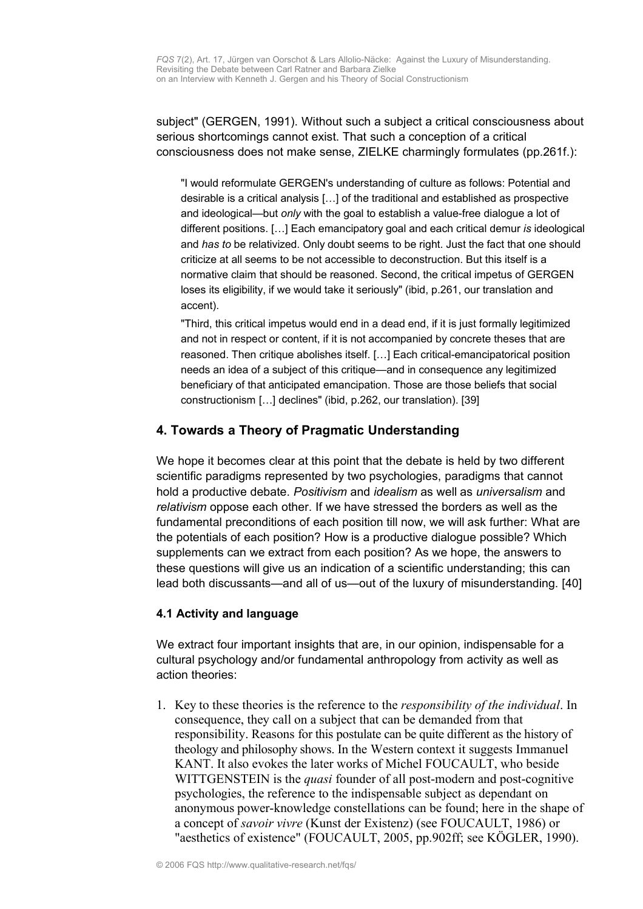subject" (GERGEN, 1991). Without such a subject a critical consciousness about serious shortcomings cannot exist. That such a conception of a critical consciousness does not make sense, ZIELKE charmingly formulates (pp.261f.):

"I would reformulate GERGEN's understanding of culture as follows: Potential and desirable is a critical analysis […] of the traditional and established as prospective and ideological—but *only* with the goal to establish a value-free dialogue a lot of different positions. […] Each emancipatory goal and each critical demur *is* ideological and *has to* be relativized. Only doubt seems to be right. Just the fact that one should criticize at all seems to be not accessible to deconstruction. But this itself is a normative claim that should be reasoned. Second, the critical impetus of GERGEN loses its eligibility, if we would take it seriously" (ibid, p.261, our translation and accent).

"Third, this critical impetus would end in a dead end, if it is just formally legitimized and not in respect or content, if it is not accompanied by concrete theses that are reasoned. Then critique abolishes itself. […] Each critical-emancipatorical position needs an idea of a subject of this critique—and in consequence any legitimized beneficiary of that anticipated emancipation. Those are those beliefs that social constructionism […] declines" (ibid, p.262, our translation). [39]

# <span id="page-13-1"></span>**4. Towards a Theory of Pragmatic Understanding**

We hope it becomes clear at this point that the debate is held by two different scientific paradigms represented by two psychologies, paradigms that cannot hold a productive debate. *Positivism* and *idealism* as well as *universalism* and *relativism* oppose each other. If we have stressed the borders as well as the fundamental preconditions of each position till now, we will ask further: What are the potentials of each position? How is a productive dialogue possible? Which supplements can we extract from each position? As we hope, the answers to these questions will give us an indication of a scientific understanding; this can lead both discussants—and all of us—out of the luxury of misunderstanding. [40]

## <span id="page-13-0"></span>**4.1 Activity and language**

We extract four important insights that are, in our opinion, indispensable for a cultural psychology and/or fundamental anthropology from activity as well as action theories:

1. Key to these theories is the reference to the *responsibility of the individual*. In consequence, they call on a subject that can be demanded from that responsibility. Reasons for this postulate can be quite different as the history of theology and philosophy shows. In the Western context it suggests Immanuel KANT. It also evokes the later works of Michel FOUCAULT, who beside WITTGENSTEIN is the *quasi* founder of all post-modern and post-cognitive psychologies, the reference to the indispensable subject as dependant on anonymous power-knowledge constellations can be found; here in the shape of a concept of *savoir vivre* (Kunst der Existenz) (see FOUCAULT, 1986) or "aesthetics of existence" (FOUCAULT, 2005, pp.902ff; see KÖGLER, 1990).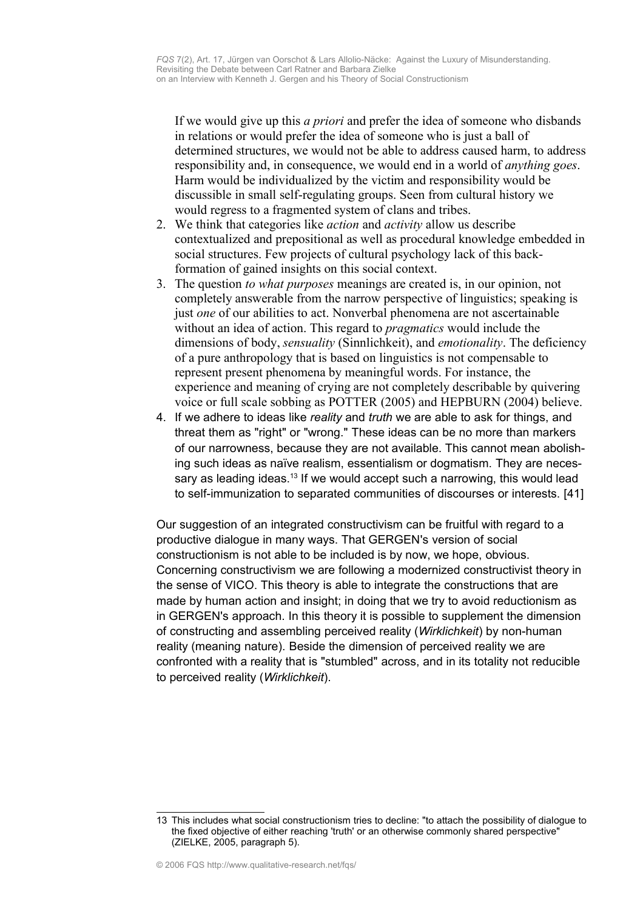If we would give up this *a priori* and prefer the idea of someone who disbands in relations or would prefer the idea of someone who is just a ball of determined structures, we would not be able to address caused harm, to address responsibility and, in consequence, we would end in a world of *anything goes*. Harm would be individualized by the victim and responsibility would be discussible in small self-regulating groups. Seen from cultural history we would regress to a fragmented system of clans and tribes.

- 2. We think that categories like *action* and *activity* allow us describe contextualized and prepositional as well as procedural knowledge embedded in social structures. Few projects of cultural psychology lack of this backformation of gained insights on this social context.
- 3. The question *to what purposes* meanings are created is, in our opinion, not completely answerable from the narrow perspective of linguistics; speaking is just *one* of our abilities to act. Nonverbal phenomena are not ascertainable without an idea of action. This regard to *pragmatics* would include the dimensions of body, *sensuality* (Sinnlichkeit), and *emotionality*. The deficiency of a pure anthropology that is based on linguistics is not compensable to represent present phenomena by meaningful words. For instance, the experience and meaning of crying are not completely describable by quivering voice or full scale sobbing as POTTER (2005) and HEPBURN (2004) believe.
- 4. If we adhere to ideas like *reality* and *truth* we are able to ask for things, and threat them as "right" or "wrong." These ideas can be no more than markers of our narrowness, because they are not available. This cannot mean abolishing such ideas as naïve realism, essentialism or dogmatism. They are neces-sary as leading ideas.<sup>[13](#page-14-0)</sup> If we would accept such a narrowing, this would lead to self-immunization to separated communities of discourses or interests. [41]

Our suggestion of an integrated constructivism can be fruitful with regard to a productive dialogue in many ways. That GERGEN's version of social constructionism is not able to be included is by now, we hope, obvious. Concerning constructivism we are following a modernized constructivist theory in the sense of VICO. This theory is able to integrate the constructions that are made by human action and insight; in doing that we try to avoid reductionism as in GERGEN's approach. In this theory it is possible to supplement the dimension of constructing and assembling perceived reality (*Wirklichkeit*) by non-human reality (meaning nature). Beside the dimension of perceived reality we are confronted with a reality that is "stumbled" across, and in its totality not reducible to perceived reality (*Wirklichkeit*).

<span id="page-14-0"></span><sup>13</sup> This includes what social constructionism tries to decline: "to attach the possibility of dialogue to the fixed objective of either reaching 'truth' or an otherwise commonly shared perspective" (ZIELKE, 2005, paragraph 5).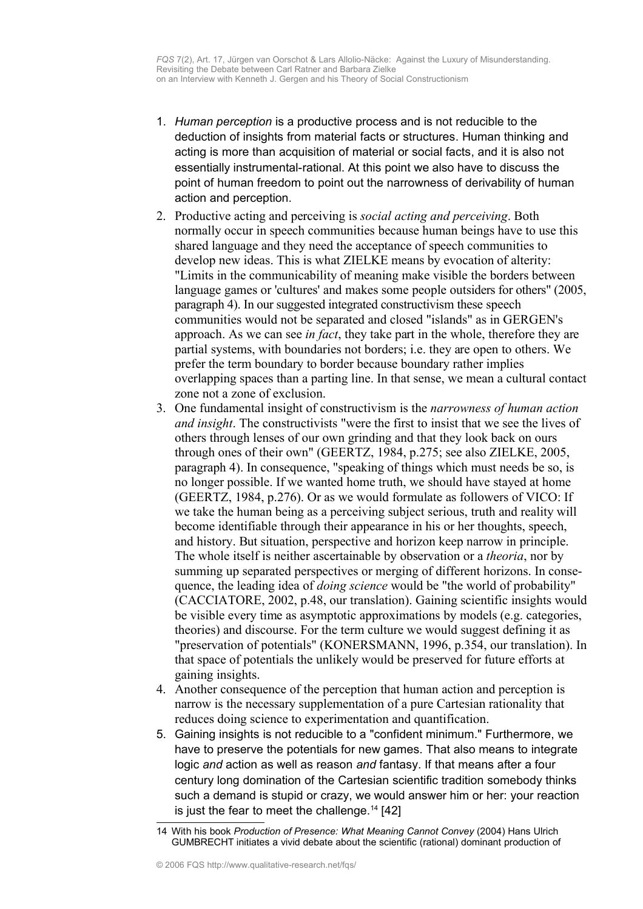- 1. *Human perception* is a productive process and is not reducible to the deduction of insights from material facts or structures. Human thinking and acting is more than acquisition of material or social facts, and it is also not essentially instrumental-rational. At this point we also have to discuss the point of human freedom to point out the narrowness of derivability of human action and perception.
- 2. Productive acting and perceiving is *social acting and perceiving*. Both normally occur in speech communities because human beings have to use this shared language and they need the acceptance of speech communities to develop new ideas. This is what ZIELKE means by evocation of alterity: "Limits in the communicability of meaning make visible the borders between language games or 'cultures' and makes some people outsiders for others" (2005, paragraph 4). In our suggested integrated constructivism these speech communities would not be separated and closed "islands" as in GERGEN's approach. As we can see *in fact*, they take part in the whole, therefore they are partial systems, with boundaries not borders; i.e. they are open to others. We prefer the term boundary to border because boundary rather implies overlapping spaces than a parting line. In that sense, we mean a cultural contact zone not a zone of exclusion.
- 3. One fundamental insight of constructivism is the *narrowness of human action and insight*. The constructivists "were the first to insist that we see the lives of others through lenses of our own grinding and that they look back on ours through ones of their own" (GEERTZ, 1984, p.275; see also ZIELKE, 2005, paragraph 4). In consequence, "speaking of things which must needs be so, is no longer possible. If we wanted home truth, we should have stayed at home (GEERTZ, 1984, p.276). Or as we would formulate as followers of VICO: If we take the human being as a perceiving subject serious, truth and reality will become identifiable through their appearance in his or her thoughts, speech, and history. But situation, perspective and horizon keep narrow in principle. The whole itself is neither ascertainable by observation or a *theoria*, nor by summing up separated perspectives or merging of different horizons. In consequence, the leading idea of *doing science* would be "the world of probability" (CACCIATORE, 2002, p.48, our translation). Gaining scientific insights would be visible every time as asymptotic approximations by models (e.g. categories, theories) and discourse. For the term culture we would suggest defining it as "preservation of potentials" (KONERSMANN, 1996, p.354, our translation). In that space of potentials the unlikely would be preserved for future efforts at gaining insights.
- 4. Another consequence of the perception that human action and perception is narrow is the necessary supplementation of a pure Cartesian rationality that reduces doing science to experimentation and quantification.
- 5. Gaining insights is not reducible to a "confident minimum." Furthermore, we have to preserve the potentials for new games. That also means to integrate logic *and* action as well as reason *and* fantasy. If that means after a four century long domination of the Cartesian scientific tradition somebody thinks such a demand is stupid or crazy, we would answer him or her: your reaction is just the fear to meet the challenge. $14$  [42]

<span id="page-15-0"></span><sup>14</sup> With his book *Production of Presence: What Meaning Cannot Convey* (2004) Hans Ulrich GUMBRECHT initiates a vivid debate about the scientific (rational) dominant production of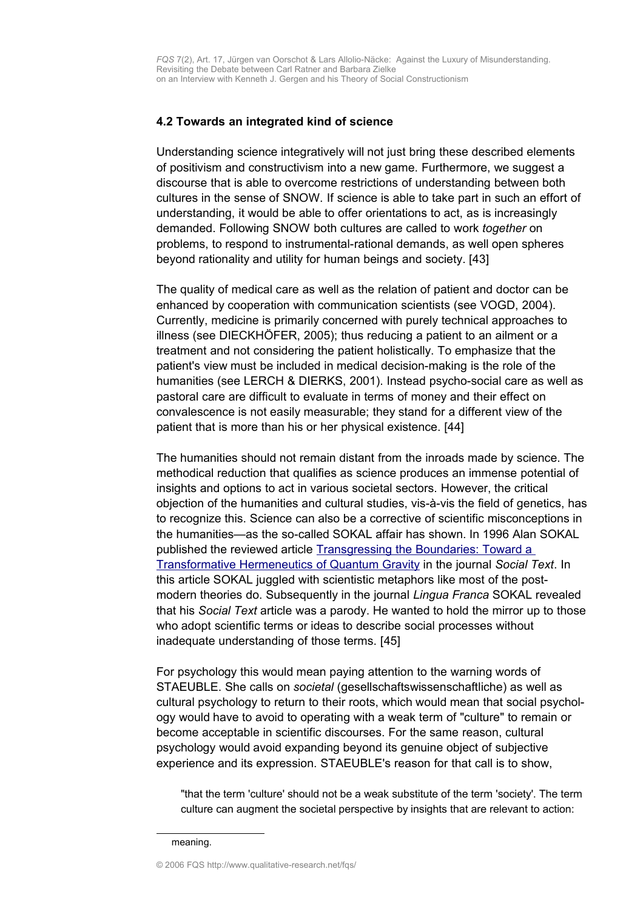#### <span id="page-16-0"></span>**4.2 Towards an integrated kind of science**

Understanding science integratively will not just bring these described elements of positivism and constructivism into a new game. Furthermore, we suggest a discourse that is able to overcome restrictions of understanding between both cultures in the sense of SNOW. If science is able to take part in such an effort of understanding, it would be able to offer orientations to act, as is increasingly demanded. Following SNOW both cultures are called to work *together* on problems, to respond to instrumental-rational demands, as well open spheres beyond rationality and utility for human beings and society. [43]

The quality of medical care as well as the relation of patient and doctor can be enhanced by cooperation with communication scientists (see VOGD, 2004). Currently, medicine is primarily concerned with purely technical approaches to illness (see DIECKHÖFER, 2005); thus reducing a patient to an ailment or a treatment and not considering the patient holistically. To emphasize that the patient's view must be included in medical decision-making is the role of the humanities (see LERCH & DIERKS, 2001). Instead psycho-social care as well as pastoral care are difficult to evaluate in terms of money and their effect on convalescence is not easily measurable; they stand for a different view of the patient that is more than his or her physical existence. [44]

The humanities should not remain distant from the inroads made by science. The methodical reduction that qualifies as science produces an immense potential of insights and options to act in various societal sectors. However, the critical objection of the humanities and cultural studies, vis-à-vis the field of genetics, has to recognize this. Science can also be a corrective of scientific misconceptions in the humanities—as the so-called SOKAL affair has shown. In 1996 Alan SOKAL published the reviewed article [Transgressing the Boundaries: Toward a](http://www.physics.nyu.edu/faculty/sokal/transgress_v2/transgress_v2_singlefile.html) [Transformative Hermeneutics](http://www.physics.nyu.edu/faculty/sokal/transgress_v2/transgress_v2_singlefile.html) of Quantum Gravity in the journal *Social Text*. In this article SOKAL juggled with scientistic metaphors like most of the postmodern theories do. Subsequently in the journal *Lingua Franca* SOKAL revealed that his *Social Text* article was a parody. He wanted to hold the mirror up to those who adopt scientific terms or ideas to describe social processes without inadequate understanding of those terms. [45]

For psychology this would mean paying attention to the warning words of STAEUBLE. She calls on *societal* (gesellschaftswissenschaftliche) as well as cultural psychology to return to their roots, which would mean that social psychology would have to avoid to operating with a weak term of "culture" to remain or become acceptable in scientific discourses. For the same reason, cultural psychology would avoid expanding beyond its genuine object of subjective experience and its expression. STAEUBLE's reason for that call is to show,

"that the term 'culture' should not be a weak substitute of the term 'society'. The term culture can augment the societal perspective by insights that are relevant to action:

© 2006 FQS http://www.qualitative-research.net/fqs/

meaning.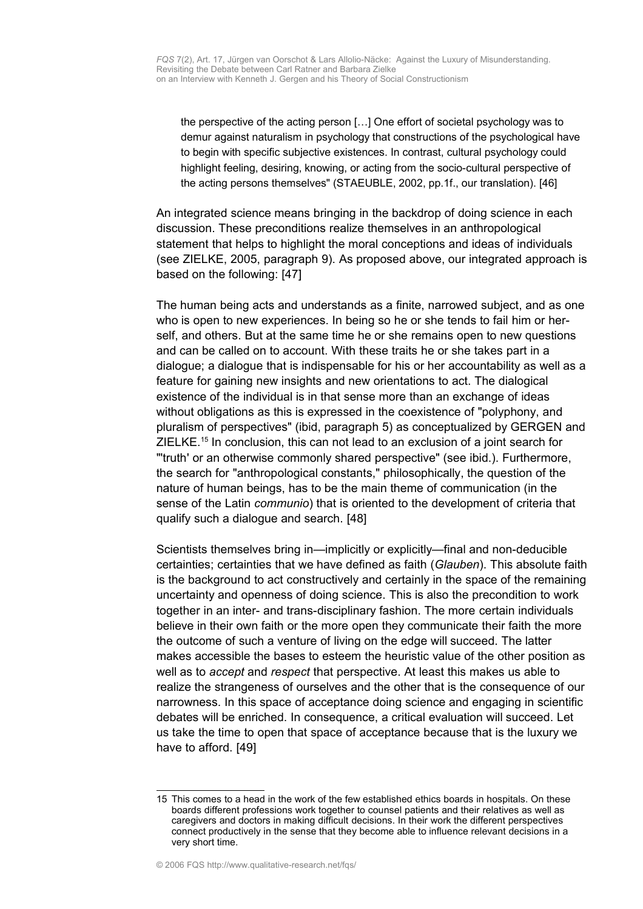the perspective of the acting person […] One effort of societal psychology was to demur against naturalism in psychology that constructions of the psychological have to begin with specific subjective existences. In contrast, cultural psychology could highlight feeling, desiring, knowing, or acting from the socio-cultural perspective of the acting persons themselves" (STAEUBLE, 2002, pp.1f., our translation). [46]

An integrated science means bringing in the backdrop of doing science in each discussion. These preconditions realize themselves in an anthropological statement that helps to highlight the moral conceptions and ideas of individuals (see ZIELKE, 2005, paragraph 9). As proposed above, our integrated approach is based on the following: [47]

The human being acts and understands as a finite, narrowed subject, and as one who is open to new experiences. In being so he or she tends to fail him or herself, and others. But at the same time he or she remains open to new questions and can be called on to account. With these traits he or she takes part in a dialogue; a dialogue that is indispensable for his or her accountability as well as a feature for gaining new insights and new orientations to act. The dialogical existence of the individual is in that sense more than an exchange of ideas without obligations as this is expressed in the coexistence of "polyphony, and pluralism of perspectives" (ibid, paragraph 5) as conceptualized by GERGEN and ZIELKE.<sup>[15](#page-17-0)</sup> In conclusion, this can not lead to an exclusion of a joint search for "'truth' or an otherwise commonly shared perspective" (see ibid.). Furthermore, the search for "anthropological constants," philosophically, the question of the nature of human beings, has to be the main theme of communication (in the sense of the Latin *communio*) that is oriented to the development of criteria that qualify such a dialogue and search. [48]

Scientists themselves bring in—implicitly or explicitly—final and non-deducible certainties; certainties that we have defined as faith (*Glauben*). This absolute faith is the background to act constructively and certainly in the space of the remaining uncertainty and openness of doing science. This is also the precondition to work together in an inter- and trans-disciplinary fashion. The more certain individuals believe in their own faith or the more open they communicate their faith the more the outcome of such a venture of living on the edge will succeed. The latter makes accessible the bases to esteem the heuristic value of the other position as well as to *accept* and *respect* that perspective. At least this makes us able to realize the strangeness of ourselves and the other that is the consequence of our narrowness. In this space of acceptance doing science and engaging in scientific debates will be enriched. In consequence, a critical evaluation will succeed. Let us take the time to open that space of acceptance because that is the luxury we have to afford. [49]

<span id="page-17-0"></span><sup>15</sup> This comes to a head in the work of the few established ethics boards in hospitals. On these boards different professions work together to counsel patients and their relatives as well as caregivers and doctors in making difficult decisions. In their work the different perspectives connect productively in the sense that they become able to influence relevant decisions in a very short time.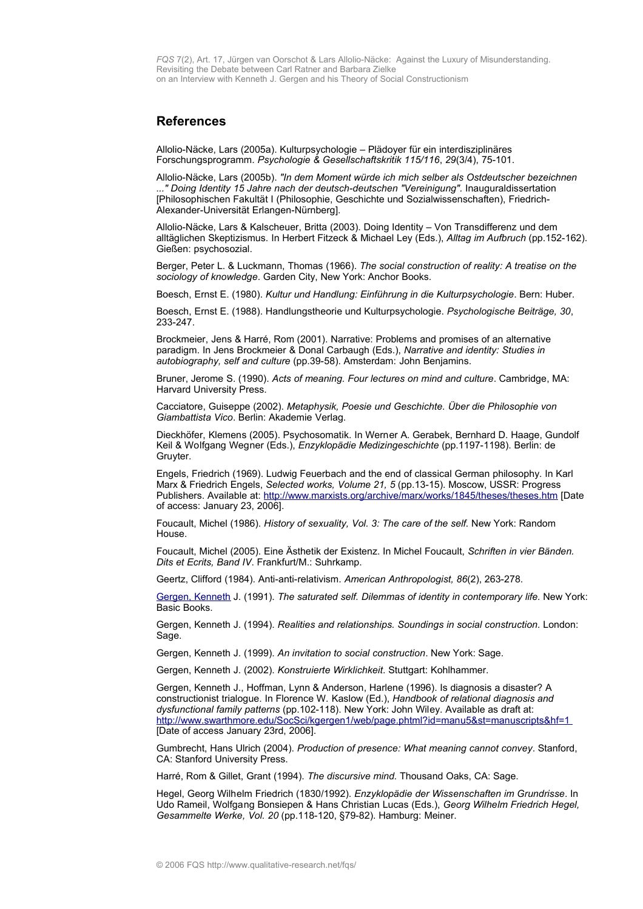#### <span id="page-18-0"></span>**References**

Allolio-Näcke, Lars (2005a). Kulturpsychologie – Plädoyer für ein interdisziplinäres Forschungsprogramm. *Psychologie & Gesellschaftskritik 115/116*, *29*(3/4), 75-101.

Allolio-Näcke, Lars (2005b). *"In dem Moment würde ich mich selber als Ostdeutscher bezeichnen ..." Doing Identity 15 Jahre nach der deutsch-deutschen "Vereinigung".* Inauguraldissertation [Philosophischen Fakultät I (Philosophie, Geschichte und Sozialwissenschaften), Friedrich-Alexander-Universität Erlangen-Nürnberg].

Allolio-Näcke, Lars & Kalscheuer, Britta (2003). Doing Identity – Von Transdifferenz und dem alltäglichen Skeptizismus. In Herbert Fitzeck & Michael Ley (Eds.), *Alltag im Aufbruch* (pp.152-162). Gießen: psychosozial.

Berger, Peter L. & Luckmann, Thomas (1966). *The social construction of reality: A treatise on the sociology of knowledge*. Garden City, New York: Anchor Books.

Boesch, Ernst E. (1980). *Kultur und Handlung: Einführung in die Kulturpsychologie*. Bern: Huber.

Boesch, Ernst E. (1988). Handlungstheorie und Kulturpsychologie. *Psychologische Beiträge, 30*, 233-247.

Brockmeier, Jens & Harré, Rom (2001). Narrative: Problems and promises of an alternative paradigm. In Jens Brockmeier & Donal Carbaugh (Eds.), *Narrative and identity: Studies in autobiography, self and culture* (pp.39-58). Amsterdam: John Benjamins.

Bruner, Jerome S. (1990). *Acts of meaning. Four lectures on mind and culture*. Cambridge, MA: Harvard University Press.

Cacciatore, Guiseppe (2002). *Metaphysik, Poesie und Geschichte. Über die Philosophie von Giambattista Vico*. Berlin: Akademie Verlag.

Dieckhöfer, Klemens (2005). Psychosomatik. In Werner A. Gerabek, Bernhard D. Haage, Gundolf Keil & Wolfgang Wegner (Eds.), *Enzyklopädie Medizingeschichte* (pp.1197-1198). Berlin: de Gruyter.

Engels, Friedrich (1969). Ludwig Feuerbach and the end of classical German philosophy. In Karl Marx & Friedrich Engels, *Selected works, Volume 21, 5* (pp.13-15). Moscow, USSR: Progress Publishers. Available at: <http://www.marxists.org/archive/marx/works/1845/theses/theses.htm>[Date of access: January 23, 2006].

Foucault, Michel (1986). *History of sexuality, Vol. 3: The care of the self.* New York: Random House.

Foucault, Michel (2005). Eine Ästhetik der Existenz. In Michel Foucault, *Schriften in vier Bänden. Dits et Ecrits, Band IV*. Frankfurt/M.: Suhrkamp.

Geertz, Clifford (1984). Anti-anti-relativism. *American Anthropologist, 86*(2), 263-278.

[Gergen, Kenneth](http://www.qualitative-research.net/fqs/beirat/gergen-ken-e.htm) J. (1991). *The saturated self. Dilemmas of identity in contemporary life.* New York: Basic Books.

Gergen, Kenneth J. (1994). *Realities and relationships. Soundings in social construction.* London: Sage.

Gergen, Kenneth J. (1999). *An invitation to social construction*. New York: Sage.

Gergen, Kenneth J. (2002). *Konstruierte Wirklichkeit*. Stuttgart: Kohlhammer.

Gergen, Kenneth J., Hoffman, Lynn & Anderson, Harlene (1996). Is diagnosis a disaster? A constructionist trialogue. In Florence W. Kaslow (Ed.), *Handbook of relational diagnosis and dysfunctional family patterns* (pp.102-118). New York: John Wiley. Available as draft at: <http://www.swarthmore.edu/SocSci/kgergen1/web/page.phtml?id=manu5&st=manuscripts&hf=1> [Date of access January 23rd, 2006].

Gumbrecht, Hans Ulrich (2004). *Production of presence: What meaning cannot convey*. Stanford, CA: Stanford University Press.

Harré, Rom & Gillet, Grant (1994). *The discursive mind.* Thousand Oaks, CA: Sage.

Hegel, Georg Wilhelm Friedrich (1830/1992). *Enzyklopädie der Wissenschaften im Grundrisse*. In Udo Rameil, Wolfgang Bonsiepen & Hans Christian Lucas (Eds.), *Georg Wilhelm Friedrich Hegel, Gesammelte Werke, Vol. 20* (pp.118-120, §79-82). Hamburg: Meiner.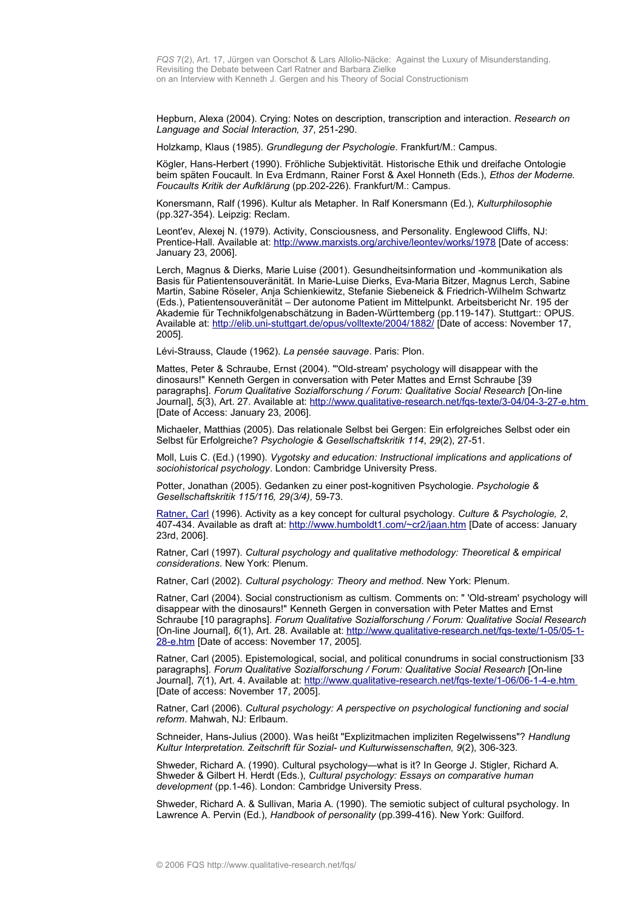Hepburn, Alexa (2004). Crying: Notes on description, transcription and interaction. *Research on Language and Social Interaction, 37*, 251-290.

Holzkamp, Klaus (1985). *Grundlegung der Psychologie*. Frankfurt/M.: Campus.

Kögler, Hans-Herbert (1990). Fröhliche Subjektivität. Historische Ethik und dreifache Ontologie beim späten Foucault. In Eva Erdmann, Rainer Forst & Axel Honneth (Eds.), *Ethos der Moderne. Foucaults Kritik der Aufklärung* (pp.202-226). Frankfurt/M.: Campus.

Konersmann, Ralf (1996). Kultur als Metapher. In Ralf Konersmann (Ed.), *Kulturphilosophie* (pp.327-354). Leipzig: Reclam.

Leont'ev, Alexej N. (1979). Activity, Consciousness, and Personality. Englewood Cliffs, NJ: Prentice-Hall. Available at: <http://www.marxists.org/archive/leontev/works/1978>[Date of access: January 23, 2006].

Lerch, Magnus & Dierks, Marie Luise (2001). Gesundheitsinformation und -kommunikation als Basis für Patientensouveränität. In Marie-Luise Dierks, Eva-Maria Bitzer, Magnus Lerch, Sabine Martin, Sabine Röseler, Anja Schienkiewitz, Stefanie Siebeneick & Friedrich-Wilhelm Schwartz (Eds.), Patientensouveränität – Der autonome Patient im Mittelpunkt. Arbeitsbericht Nr. 195 der Akademie für Technikfolgenabschätzung in Baden-Württemberg (pp.119-147). Stuttgart:: OPUS. Available at: <http://elib.uni-stuttgart.de/opus/volltexte/2004/1882/>[Date of access: November 17, 2005].

Lévi-Strauss, Claude (1962). *La pensée sauvage*. Paris: Plon.

Mattes, Peter & Schraube, Ernst (2004). "'Old-stream' psychology will disappear with the dinosaurs!" Kenneth Gergen in conversation with Peter Mattes and Ernst Schraube [39 paragraphs]. *Forum Qualitative Sozialforschung / Forum: Qualitative Social Research* [On-line Journal], 5(3), Art. 27. Available at: <http://www.qualitative-research.net/fqs-texte/3-04/04-3-27-e.htm> [Date of Access: January 23, 2006].

Michaeler, Matthias (2005). Das relationale Selbst bei Gergen: Ein erfolgreiches Selbst oder ein Selbst für Erfolgreiche? *Psychologie & Gesellschaftskritik 114*, *29*(2), 27-51.

Moll, Luis C. (Ed.) (1990). *Vygotsky and education: Instructional implications and applications of sociohistorical psychology*. London: Cambridge University Press.

Potter, Jonathan (2005). Gedanken zu einer post-kognitiven Psychologie. *Psychologie & Gesellschaftskritik 115/116, 29(3/4),* 59-73.

[Ratner, Carl](http://www.qualitative-research.net/fqs/beirat/ratner-e.htm) (1996). Activity as a key concept for cultural psychology. *Culture & Psychologie, 2*, 407-434. Available as draft at:<http://www.humboldt1.com/~cr2/jaan.htm>[Date of access: January 23rd, 2006].

Ratner, Carl (1997). *Cultural psychology and qualitative methodology: Theoretical & empirical considerations*. New York: Plenum.

Ratner, Carl (2002). *Cultural psychology: Theory and method*. New York: Plenum.

Ratner, Carl (2004). Social constructionism as cultism. Comments on: " 'Old-stream' psychology will disappear with the dinosaurs!" Kenneth Gergen in conversation with Peter Mattes and Ernst Schraube [10 paragraphs]. *Forum Qualitative Sozialforschung / Forum: Qualitative Social Research* [On-line Journal], *6*(1), Art. 28. Available at: [http://www.qualitative-research.net/fqs-texte/1-05/05-1-](http://www.qualitative-research.net/fqs-texte/1-05/05-1-28-e.htm) [28-e.htm](http://www.qualitative-research.net/fqs-texte/1-05/05-1-28-e.htm) [Date of access: November 17, 2005].

Ratner, Carl (2005). Epistemological, social, and political conundrums in social constructionism [33 paragraphs]. *Forum Qualitative Sozialforschung / Forum: Qualitative Social Research* [On-line Journal], 7(1), Art. 4. Available at: <http://www.qualitative-research.net/fqs-texte/1-06/06-1-4-e.htm> [Date of access: November 17, 2005].

Ratner, Carl (2006). *Cultural psychology: A perspective on psychological functioning and social reform*. Mahwah, NJ: Erlbaum.

Schneider, Hans-Julius (2000). Was heißt "Explizitmachen impliziten Regelwissens"? *Handlung Kultur Interpretation. Zeitschrift für Sozial- und Kulturwissenschaften, 9*(2), 306-323.

Shweder, Richard A. (1990). Cultural psychology—what is it? In George J. Stigler, Richard A. Shweder & Gilbert H. Herdt (Eds.), *Cultural psychology: Essays on comparative human development* (pp.1-46). London: Cambridge University Press.

Shweder, Richard A. & Sullivan, Maria A. (1990). The semiotic subject of cultural psychology. In Lawrence A. Pervin (Ed.), *Handbook of personality* (pp.399-416). New York: Guilford.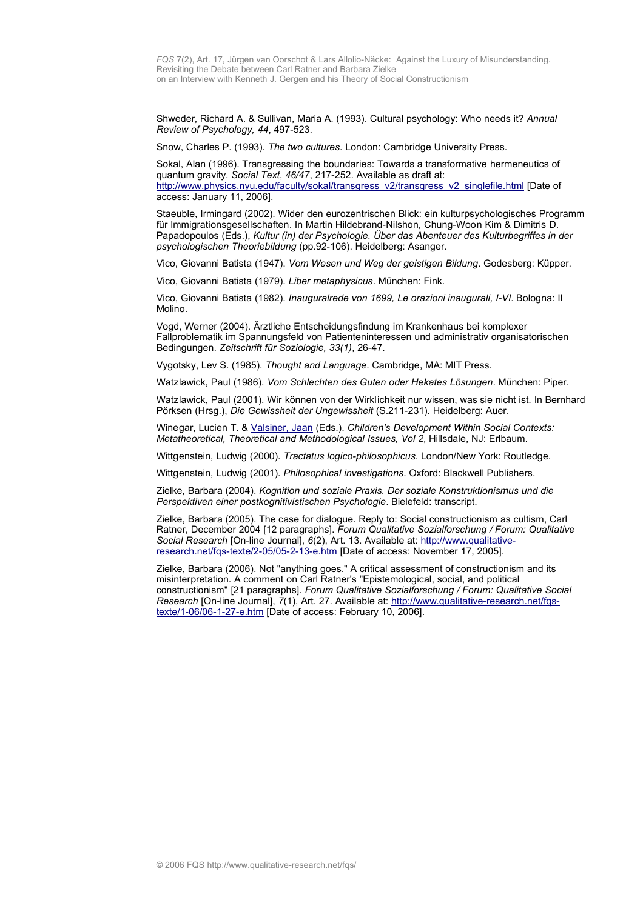Shweder, Richard A. & Sullivan, Maria A. (1993). Cultural psychology: Who needs it? *Annual Review of Psychology, 44*, 497-523.

Snow, Charles P. (1993). *The two cultures.* London: Cambridge University Press.

Sokal, Alan (1996). Transgressing the boundaries: Towards a transformative hermeneutics of quantum gravity. *Social Text*, *46/47*, 217-252. Available as draft at: [http://www.physics.nyu.edu/faculty/sokal/transgress\\_v2/transgress\\_v2\\_singlefile.html](http://www.physics.nyu.edu/faculty/sokal/transgress_v2/transgress_v2_singlefile.html) [Date of access: January 11, 2006].

Staeuble, Irmingard (2002). Wider den eurozentrischen Blick: ein kulturpsychologisches Programm für Immigrationsgesellschaften. In Martin Hildebrand-Nilshon, Chung-Woon Kim & Dimitris D. Papadopoulos (Eds.), *Kultur (in) der Psychologie. Über das Abenteuer des Kulturbegriffes in der psychologischen Theoriebildung* (pp.92-106). Heidelberg: Asanger.

Vico, Giovanni Batista (1947). *Vom Wesen und Weg der geistigen Bildung*. Godesberg: Küpper.

Vico, Giovanni Batista (1979). *Liber metaphysicus*. München: Fink.

Vico, Giovanni Batista (1982). *Inauguralrede von 1699, Le orazioni inaugurali, I-VI*. Bologna: Il Molino.

Vogd, Werner (2004). Ärztliche Entscheidungsfindung im Krankenhaus bei komplexer Fallproblematik im Spannungsfeld von Patienteninteressen und administrativ organisatorischen Bedingungen. *Zeitschrift für Soziologie, 33(1)*, 26-47.

Vygotsky, Lev S. (1985). *Thought and Language*. Cambridge, MA: MIT Press.

Watzlawick, Paul (1986). *Vom Schlechten des Guten oder Hekates Lösungen*. München: Piper.

Watzlawick, Paul (2001). Wir können von der Wirklichkeit nur wissen, was sie nicht ist. In Bernhard Pörksen (Hrsg.), *Die Gewissheit der Ungewissheit* (S.211-231)*.* Heidelberg: Auer.

Winegar, Lucien T. & [Valsiner, Jaan](http://www.qualitative-research.net/fqs/beirat/valsiner-e.htm) (Eds.). *Children's Development Within Social Contexts: Metatheoretical, Theoretical and Methodological Issues, Vol 2*, Hillsdale, NJ: Erlbaum.

Wittgenstein, Ludwig (2000). *Tractatus logico-philosophicus*. London/New York: Routledge.

Wittgenstein, Ludwig (2001). *Philosophical investigations*. Oxford: Blackwell Publishers.

Zielke, Barbara (2004). *Kognition und soziale Praxis. Der soziale Konstruktionismus und die Perspektiven einer postkognitivistischen Psychologie*. Bielefeld: transcript.

Zielke, Barbara (2005). The case for dialogue. Reply to: Social constructionism as cultism, Carl Ratner, December 2004 [12 paragraphs]. *Forum Qualitative Sozialforschung / Forum: Qualitative Social Research* [On-line Journal], *6*(2), Art. 13. Available at: [http://www.qualitative](http://www.qualitative-research.net/fqs-texte/2-05/05-2-13-d.htm)[research.net/fqs-texte/2-05/05-2-13-e.htm](http://www.qualitative-research.net/fqs-texte/2-05/05-2-13-d.htm) [Date of access: November 17, 2005].

Zielke, Barbara (2006). Not "anything goes." A critical assessment of constructionism and its misinterpretation. A comment on Carl Ratner's "Epistemological, social, and political constructionism" [21 paragraphs]. *Forum Qualitative Sozialforschung / Forum: Qualitative Social Research* [On-line Journal], *7*(1), Art. 27. Available at: [http://www.qualitative-research.net/fqs](http://www.qualitative-research.net/fqs-texte/1-06/06-1-27-e.htm)[texte/1-06/06-1-27-e.htm](http://www.qualitative-research.net/fqs-texte/1-06/06-1-27-e.htm) [Date of access: February 10, 2006].